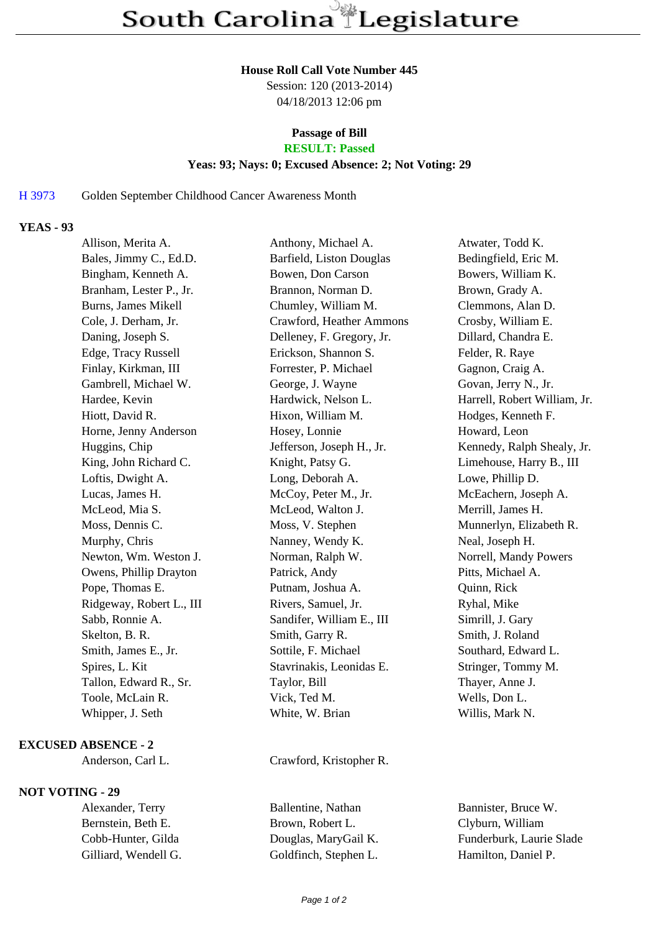#### **House Roll Call Vote Number 445**

Session: 120 (2013-2014) 04/18/2013 12:06 pm

## **Passage of Bill**

# **RESULT: Passed**

### **Yeas: 93; Nays: 0; Excused Absence: 2; Not Voting: 29**

### H 3973 Golden September Childhood Cancer Awareness Month

### **YEAS - 93**

| Allison, Merita A.         | Anthony, Michael A.       | Atwater, Todd K.             |
|----------------------------|---------------------------|------------------------------|
| Bales, Jimmy C., Ed.D.     | Barfield, Liston Douglas  | Bedingfield, Eric M.         |
| Bingham, Kenneth A.        | Bowen, Don Carson         | Bowers, William K.           |
| Branham, Lester P., Jr.    | Brannon, Norman D.        | Brown, Grady A.              |
| <b>Burns, James Mikell</b> | Chumley, William M.       | Clemmons, Alan D.            |
| Cole, J. Derham, Jr.       | Crawford, Heather Ammons  | Crosby, William E.           |
| Daning, Joseph S.          | Delleney, F. Gregory, Jr. | Dillard, Chandra E.          |
| Edge, Tracy Russell        | Erickson, Shannon S.      | Felder, R. Raye              |
| Finlay, Kirkman, III       | Forrester, P. Michael     | Gagnon, Craig A.             |
| Gambrell, Michael W.       | George, J. Wayne          | Govan, Jerry N., Jr.         |
| Hardee, Kevin              | Hardwick, Nelson L.       | Harrell, Robert William, Jr. |
| Hiott, David R.            | Hixon, William M.         | Hodges, Kenneth F.           |
| Horne, Jenny Anderson      | Hosey, Lonnie             | Howard, Leon                 |
| Huggins, Chip              | Jefferson, Joseph H., Jr. | Kennedy, Ralph Shealy, Jr.   |
| King, John Richard C.      | Knight, Patsy G.          | Limehouse, Harry B., III     |
| Loftis, Dwight A.          | Long, Deborah A.          | Lowe, Phillip D.             |
| Lucas, James H.            | McCoy, Peter M., Jr.      | McEachern, Joseph A.         |
| McLeod, Mia S.             | McLeod, Walton J.         | Merrill, James H.            |
| Moss, Dennis C.            | Moss, V. Stephen          | Munnerlyn, Elizabeth R.      |
| Murphy, Chris              | Nanney, Wendy K.          | Neal, Joseph H.              |
| Newton, Wm. Weston J.      | Norman, Ralph W.          | Norrell, Mandy Powers        |
| Owens, Phillip Drayton     | Patrick, Andy             | Pitts, Michael A.            |
| Pope, Thomas E.            | Putnam, Joshua A.         | Quinn, Rick                  |
| Ridgeway, Robert L., III   | Rivers, Samuel, Jr.       | Ryhal, Mike                  |
| Sabb, Ronnie A.            | Sandifer, William E., III | Simrill, J. Gary             |
| Skelton, B. R.             | Smith, Garry R.           | Smith, J. Roland             |
| Smith, James E., Jr.       | Sottile, F. Michael       | Southard, Edward L.          |
| Spires, L. Kit             | Stavrinakis, Leonidas E.  | Stringer, Tommy M.           |
| Tallon, Edward R., Sr.     | Taylor, Bill              | Thayer, Anne J.              |
| Toole, McLain R.           | Vick, Ted M.              | Wells, Don L.                |
| Whipper, J. Seth           | White, W. Brian           | Willis, Mark N.              |
|                            |                           |                              |

#### **EXCUSED ABSENCE - 2**

### **NOT VOTING - 29**

Alexander, Terry Ballentine, Nathan Bannister, Bruce W. Bernstein, Beth E. Brown, Robert L. Clyburn, William Cobb-Hunter, Gilda Douglas, MaryGail K. Funderburk, Laurie Slade Gilliard, Wendell G. Goldfinch, Stephen L. Hamilton, Daniel P.

Anderson, Carl L. Crawford, Kristopher R.